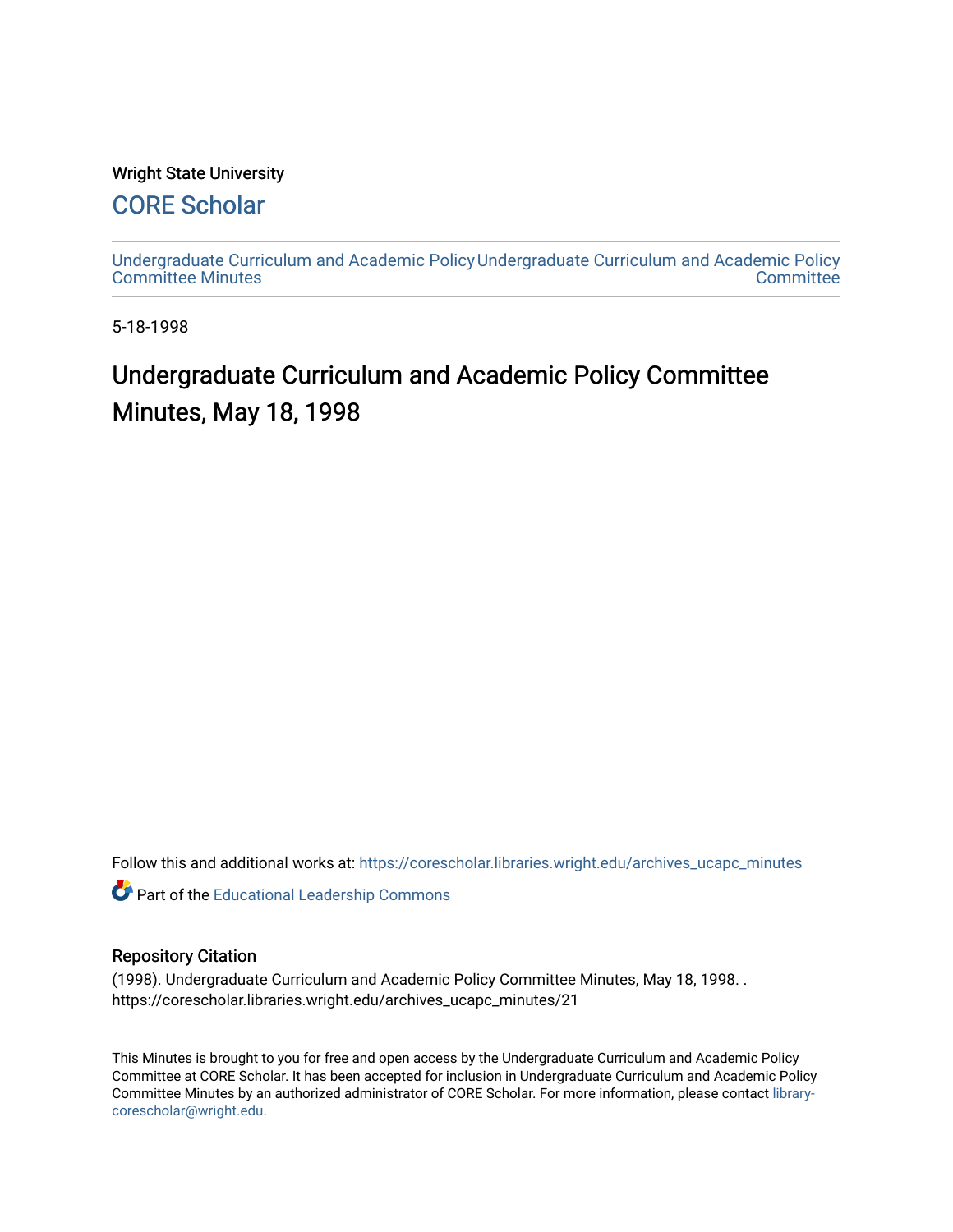## Wright State University

# [CORE Scholar](https://corescholar.libraries.wright.edu/)

[Undergraduate Curriculum and Academic Policy](https://corescholar.libraries.wright.edu/archives_ucapc_minutes) [Undergraduate Curriculum and Academic Policy](https://corescholar.libraries.wright.edu/archives_ucapc)  [Committee Minutes](https://corescholar.libraries.wright.edu/archives_ucapc_minutes) **Committee** 

5-18-1998

# Undergraduate Curriculum and Academic Policy Committee Minutes, May 18, 1998

Follow this and additional works at: [https://corescholar.libraries.wright.edu/archives\\_ucapc\\_minutes](https://corescholar.libraries.wright.edu/archives_ucapc_minutes?utm_source=corescholar.libraries.wright.edu%2Farchives_ucapc_minutes%2F21&utm_medium=PDF&utm_campaign=PDFCoverPages) 

Part of the [Educational Leadership Commons](http://network.bepress.com/hgg/discipline/1230?utm_source=corescholar.libraries.wright.edu%2Farchives_ucapc_minutes%2F21&utm_medium=PDF&utm_campaign=PDFCoverPages) 

#### Repository Citation

(1998). Undergraduate Curriculum and Academic Policy Committee Minutes, May 18, 1998. . https://corescholar.libraries.wright.edu/archives\_ucapc\_minutes/21

This Minutes is brought to you for free and open access by the Undergraduate Curriculum and Academic Policy Committee at CORE Scholar. It has been accepted for inclusion in Undergraduate Curriculum and Academic Policy Committee Minutes by an authorized administrator of CORE Scholar. For more information, please contact [library](mailto:library-corescholar@wright.edu)[corescholar@wright.edu](mailto:library-corescholar@wright.edu).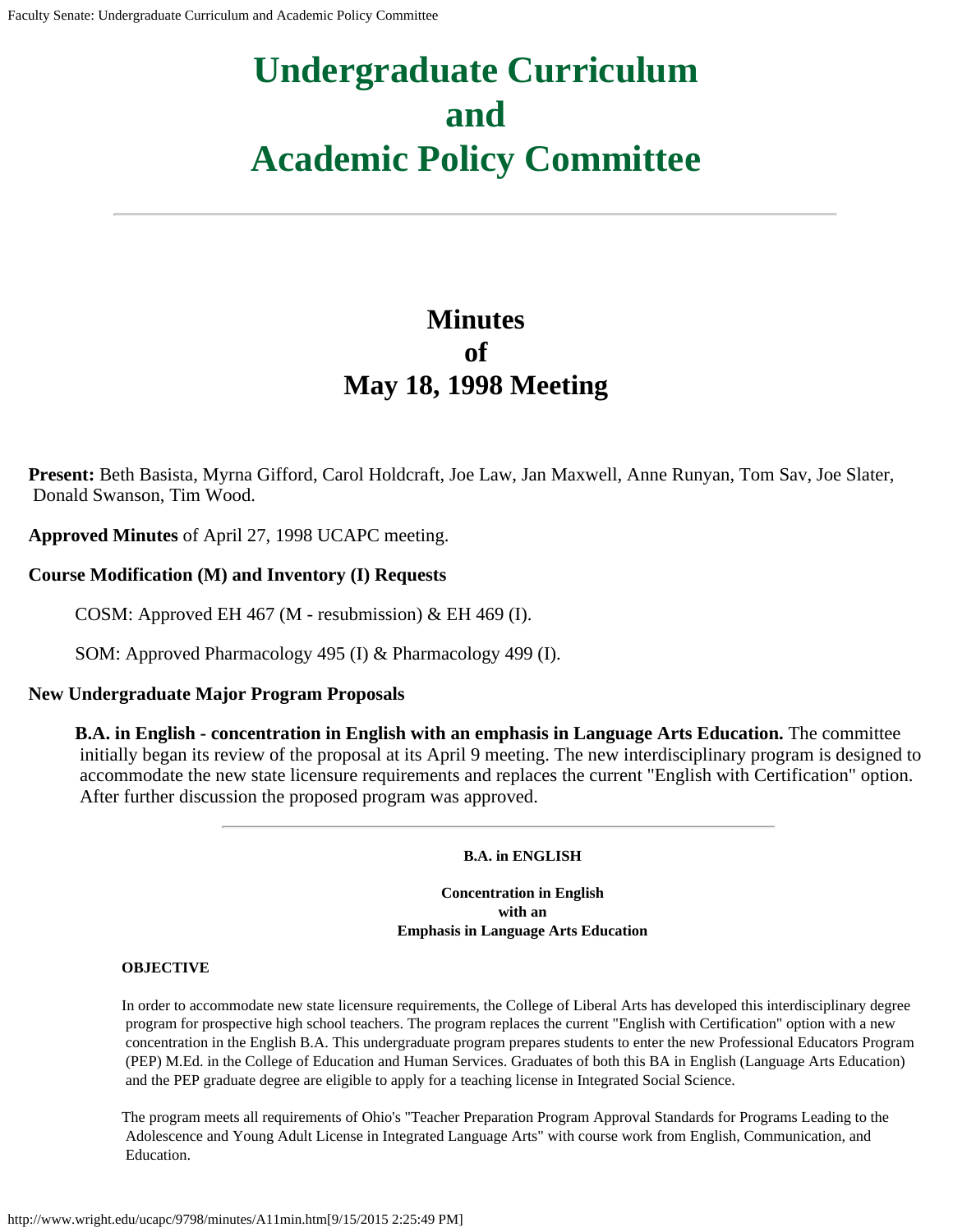# **Undergraduate Curriculum and Academic Policy Committee**

# **Minutes of May 18, 1998 Meeting**

**Present:** Beth Basista, Myrna Gifford, Carol Holdcraft, Joe Law, Jan Maxwell, Anne Runyan, Tom Sav, Joe Slater, Donald Swanson, Tim Wood.

**Approved Minutes** of April 27, 1998 UCAPC meeting.

### **Course Modification (M) and Inventory (I) Requests**

COSM: Approved EH 467 (M - resubmission) & EH 469 (I).

SOM: Approved Pharmacology 495 (I) & Pharmacology 499 (I).

#### **New Undergraduate Major Program Proposals**

**B.A. in English - concentration in English with an emphasis in Language Arts Education.** The committee initially began its review of the proposal at its April 9 meeting. The new interdisciplinary program is designed to accommodate the new state licensure requirements and replaces the current "English with Certification" option. After further discussion the proposed program was approved.

**B.A. in ENGLISH**

**Concentration in English with an Emphasis in Language Arts Education**

#### **OBJECTIVE**

In order to accommodate new state licensure requirements, the College of Liberal Arts has developed this interdisciplinary degree program for prospective high school teachers. The program replaces the current "English with Certification" option with a new concentration in the English B.A. This undergraduate program prepares students to enter the new Professional Educators Program (PEP) M.Ed. in the College of Education and Human Services. Graduates of both this BA in English (Language Arts Education) and the PEP graduate degree are eligible to apply for a teaching license in Integrated Social Science.

The program meets all requirements of Ohio's "Teacher Preparation Program Approval Standards for Programs Leading to the Adolescence and Young Adult License in Integrated Language Arts" with course work from English, Communication, and Education.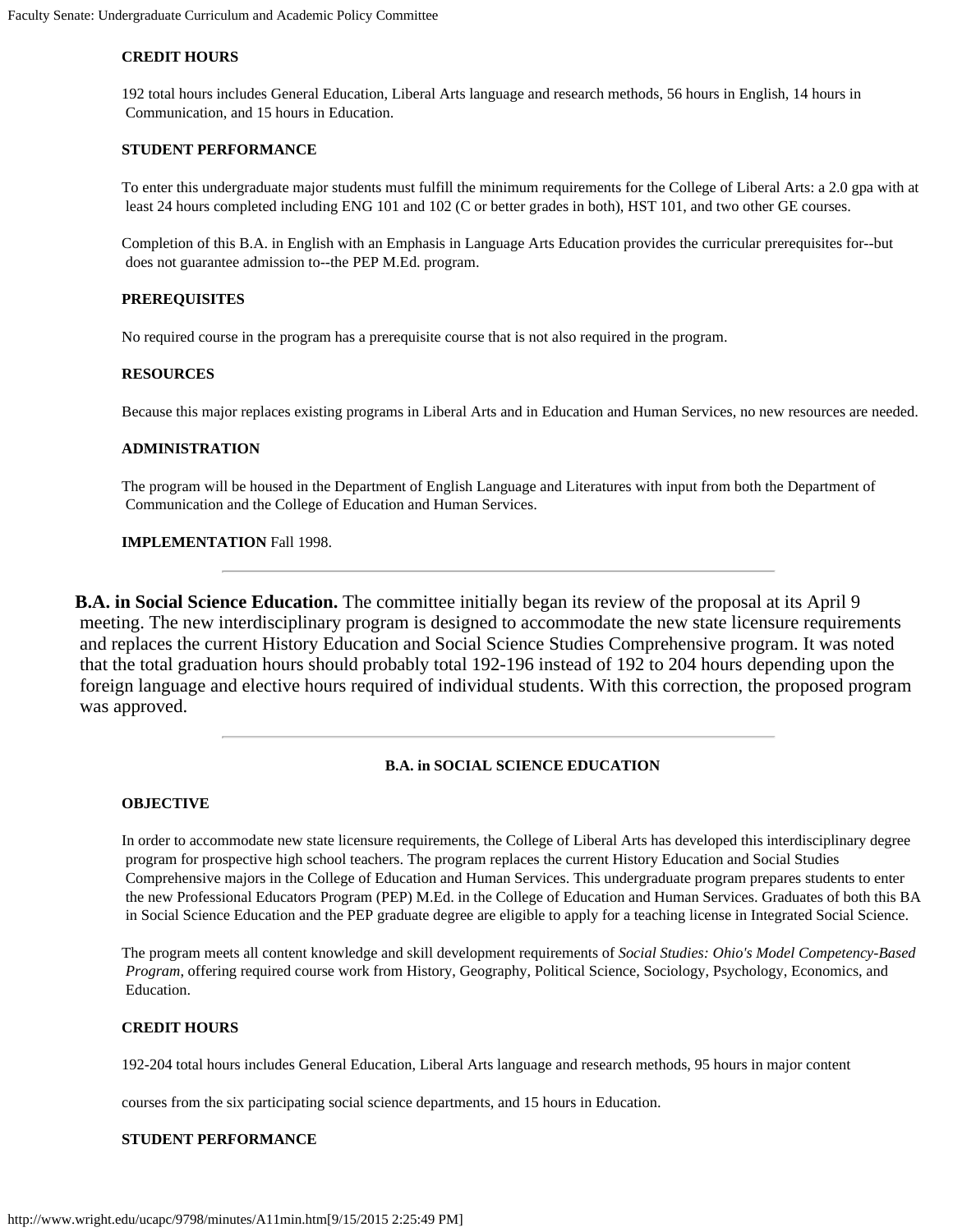#### **CREDIT HOURS**

192 total hours includes General Education, Liberal Arts language and research methods, 56 hours in English, 14 hours in Communication, and 15 hours in Education.

#### **STUDENT PERFORMANCE**

To enter this undergraduate major students must fulfill the minimum requirements for the College of Liberal Arts: a 2.0 gpa with at least 24 hours completed including ENG 101 and 102 (C or better grades in both), HST 101, and two other GE courses.

Completion of this B.A. in English with an Emphasis in Language Arts Education provides the curricular prerequisites for--but does not guarantee admission to--the PEP M.Ed. program.

#### **PREREQUISITES**

No required course in the program has a prerequisite course that is not also required in the program.

#### **RESOURCES**

Because this major replaces existing programs in Liberal Arts and in Education and Human Services, no new resources are needed.

#### **ADMINISTRATION**

The program will be housed in the Department of English Language and Literatures with input from both the Department of Communication and the College of Education and Human Services.

#### **IMPLEMENTATION** Fall 1998.

**B.A. in Social Science Education.** The committee initially began its review of the proposal at its April 9 meeting. The new interdisciplinary program is designed to accommodate the new state licensure requirements and replaces the current History Education and Social Science Studies Comprehensive program. It was noted that the total graduation hours should probably total 192-196 instead of 192 to 204 hours depending upon the foreign language and elective hours required of individual students. With this correction, the proposed program was approved.

#### **B.A. in SOCIAL SCIENCE EDUCATION**

#### **OBJECTIVE**

In order to accommodate new state licensure requirements, the College of Liberal Arts has developed this interdisciplinary degree program for prospective high school teachers. The program replaces the current History Education and Social Studies Comprehensive majors in the College of Education and Human Services. This undergraduate program prepares students to enter the new Professional Educators Program (PEP) M.Ed. in the College of Education and Human Services. Graduates of both this BA in Social Science Education and the PEP graduate degree are eligible to apply for a teaching license in Integrated Social Science.

The program meets all content knowledge and skill development requirements of *Social Studies: Ohio's Model Competency-Based Program*, offering required course work from History, Geography, Political Science, Sociology, Psychology, Economics, and Education.

#### **CREDIT HOURS**

192-204 total hours includes General Education, Liberal Arts language and research methods, 95 hours in major content

courses from the six participating social science departments, and 15 hours in Education.

#### **STUDENT PERFORMANCE**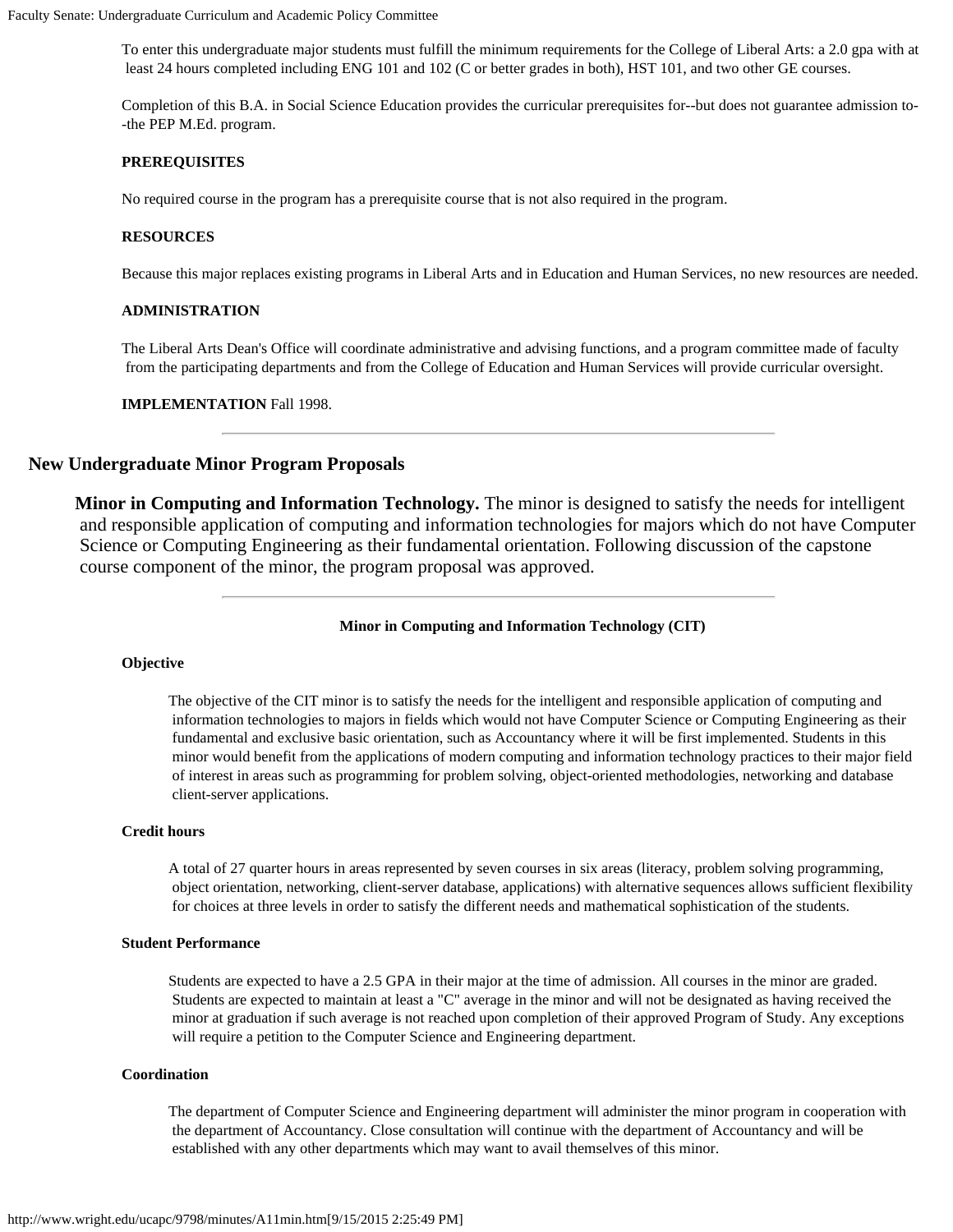To enter this undergraduate major students must fulfill the minimum requirements for the College of Liberal Arts: a 2.0 gpa with at least 24 hours completed including ENG 101 and 102 (C or better grades in both), HST 101, and two other GE courses.

Completion of this B.A. in Social Science Education provides the curricular prerequisites for--but does not guarantee admission to- -the PEP M.Ed. program.

#### **PREREQUISITES**

No required course in the program has a prerequisite course that is not also required in the program.

#### **RESOURCES**

Because this major replaces existing programs in Liberal Arts and in Education and Human Services, no new resources are needed.

#### **ADMINISTRATION**

The Liberal Arts Dean's Office will coordinate administrative and advising functions, and a program committee made of faculty from the participating departments and from the College of Education and Human Services will provide curricular oversight.

**IMPLEMENTATION** Fall 1998.

#### **New Undergraduate Minor Program Proposals**

**Minor in Computing and Information Technology.** The minor is designed to satisfy the needs for intelligent and responsible application of computing and information technologies for majors which do not have Computer Science or Computing Engineering as their fundamental orientation. Following discussion of the capstone course component of the minor, the program proposal was approved.

**Minor in Computing and Information Technology (CIT)**

#### **Objective**

The objective of the CIT minor is to satisfy the needs for the intelligent and responsible application of computing and information technologies to majors in fields which would not have Computer Science or Computing Engineering as their fundamental and exclusive basic orientation, such as Accountancy where it will be first implemented. Students in this minor would benefit from the applications of modern computing and information technology practices to their major field of interest in areas such as programming for problem solving, object-oriented methodologies, networking and database client-server applications.

#### **Credit hours**

A total of 27 quarter hours in areas represented by seven courses in six areas (literacy, problem solving programming, object orientation, networking, client-server database, applications) with alternative sequences allows sufficient flexibility for choices at three levels in order to satisfy the different needs and mathematical sophistication of the students.

#### **Student Performance**

Students are expected to have a 2.5 GPA in their major at the time of admission. All courses in the minor are graded. Students are expected to maintain at least a "C" average in the minor and will not be designated as having received the minor at graduation if such average is not reached upon completion of their approved Program of Study. Any exceptions will require a petition to the Computer Science and Engineering department.

#### **Coordination**

The department of Computer Science and Engineering department will administer the minor program in cooperation with the department of Accountancy. Close consultation will continue with the department of Accountancy and will be established with any other departments which may want to avail themselves of this minor.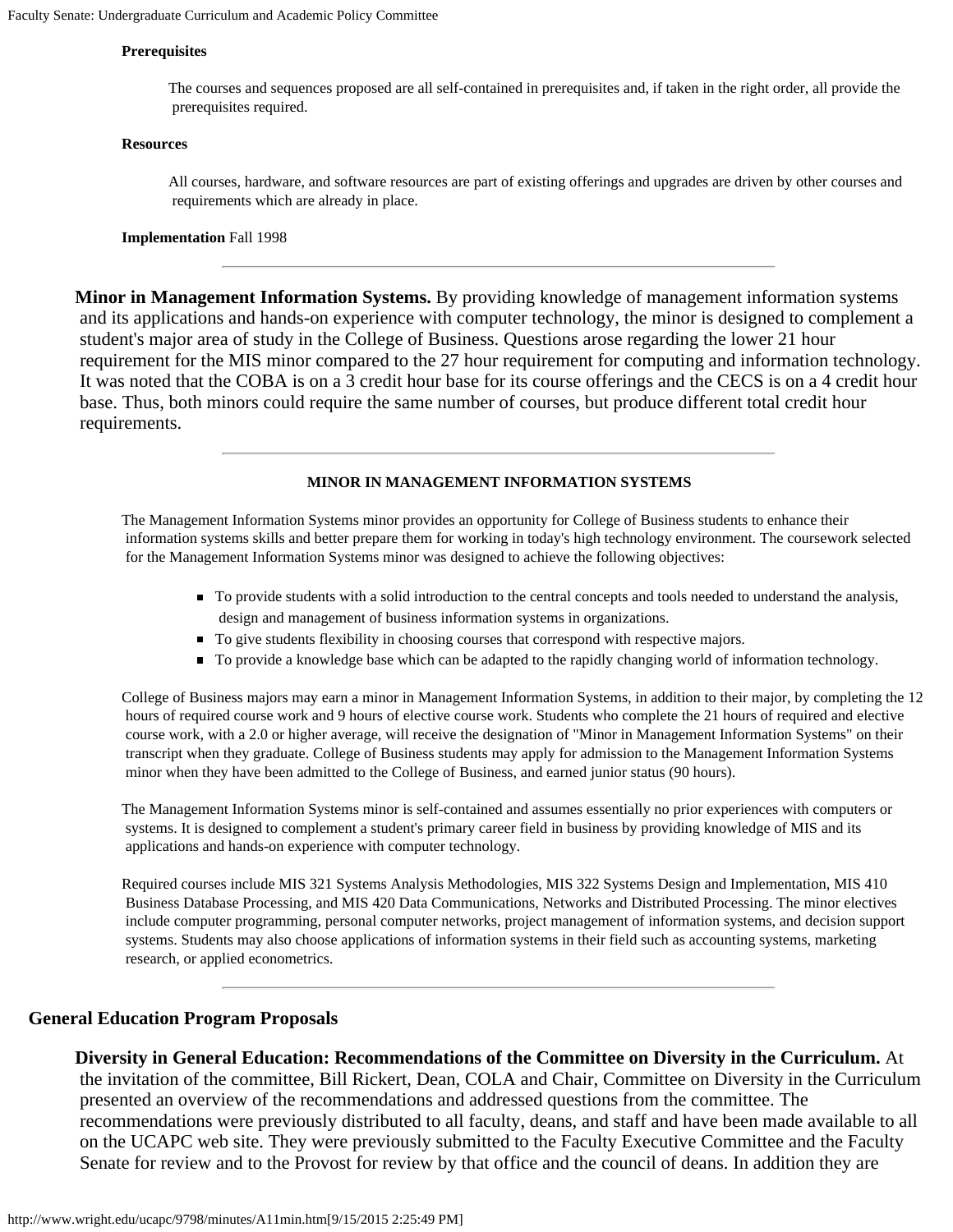#### **Prerequisites**

The courses and sequences proposed are all self-contained in prerequisites and, if taken in the right order, all provide the prerequisites required.

#### **Resources**

All courses, hardware, and software resources are part of existing offerings and upgrades are driven by other courses and requirements which are already in place.

**Implementation** Fall 1998

**Minor in Management Information Systems.** By providing knowledge of management information systems and its applications and hands-on experience with computer technology, the minor is designed to complement a student's major area of study in the College of Business. Questions arose regarding the lower 21 hour requirement for the MIS minor compared to the 27 hour requirement for computing and information technology. It was noted that the COBA is on a 3 credit hour base for its course offerings and the CECS is on a 4 credit hour base. Thus, both minors could require the same number of courses, but produce different total credit hour requirements.

#### **MINOR IN MANAGEMENT INFORMATION SYSTEMS**

The Management Information Systems minor provides an opportunity for College of Business students to enhance their information systems skills and better prepare them for working in today's high technology environment. The coursework selected for the Management Information Systems minor was designed to achieve the following objectives:

- To provide students with a solid introduction to the central concepts and tools needed to understand the analysis, design and management of business information systems in organizations.
- To give students flexibility in choosing courses that correspond with respective majors.
- To provide a knowledge base which can be adapted to the rapidly changing world of information technology.

College of Business majors may earn a minor in Management Information Systems, in addition to their major, by completing the 12 hours of required course work and 9 hours of elective course work. Students who complete the 21 hours of required and elective course work, with a 2.0 or higher average, will receive the designation of "Minor in Management Information Systems" on their transcript when they graduate. College of Business students may apply for admission to the Management Information Systems minor when they have been admitted to the College of Business, and earned junior status (90 hours).

The Management Information Systems minor is self-contained and assumes essentially no prior experiences with computers or systems. It is designed to complement a student's primary career field in business by providing knowledge of MIS and its applications and hands-on experience with computer technology.

Required courses include MIS 321 Systems Analysis Methodologies, MIS 322 Systems Design and Implementation, MIS 410 Business Database Processing, and MIS 420 Data Communications, Networks and Distributed Processing. The minor electives include computer programming, personal computer networks, project management of information systems, and decision support systems. Students may also choose applications of information systems in their field such as accounting systems, marketing research, or applied econometrics.

#### **General Education Program Proposals**

#### **Diversity in General Education: Recommendations of the Committee on Diversity in the Curriculum.** At

 the invitation of the committee, Bill Rickert, Dean, COLA and Chair, Committee on Diversity in the Curriculum presented an overview of the recommendations and addressed questions from the committee. The recommendations were previously distributed to all faculty, deans, and staff and have been made available to all on the UCAPC web site. They were previously submitted to the Faculty Executive Committee and the Faculty Senate for review and to the Provost for review by that office and the council of deans. In addition they are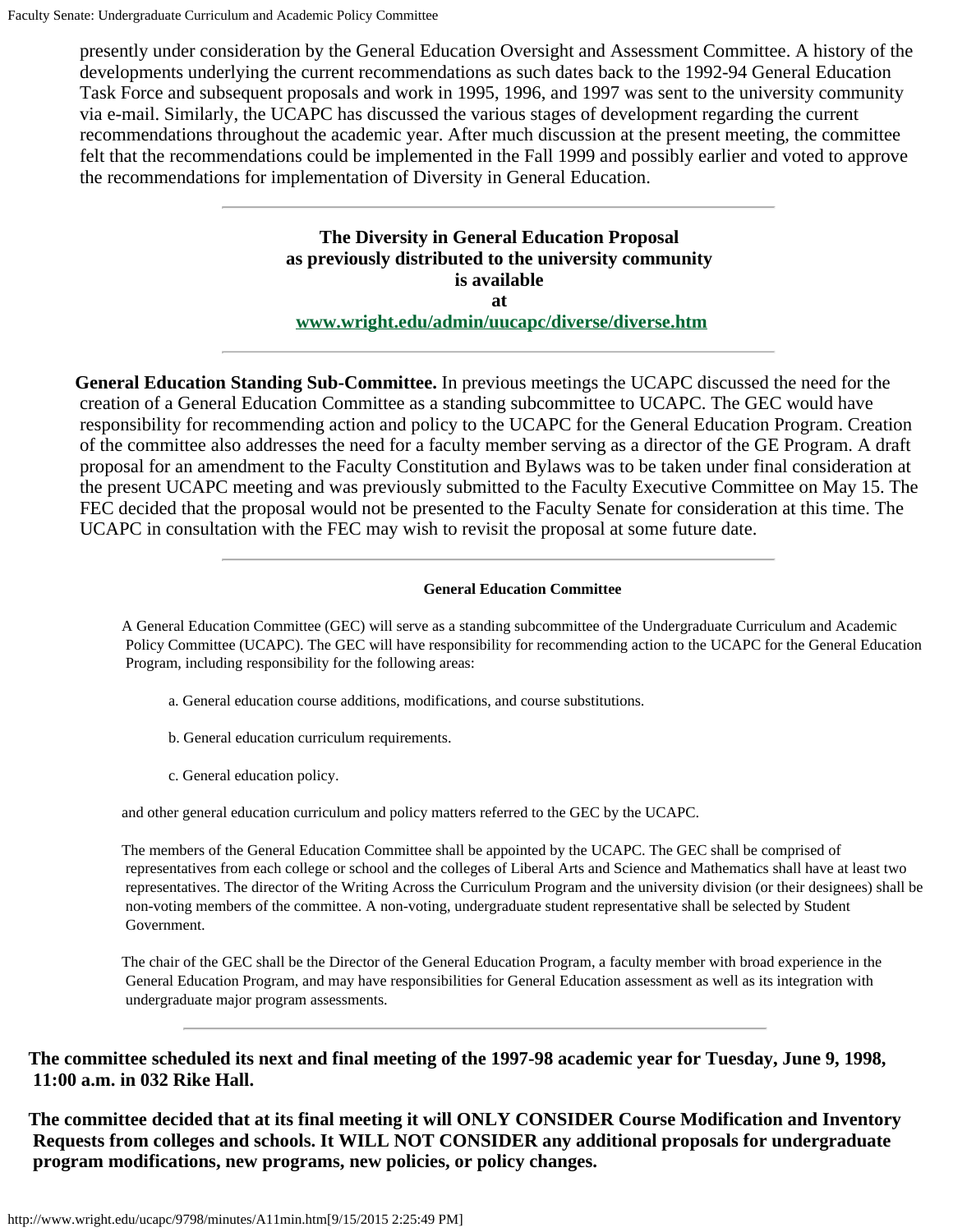presently under consideration by the General Education Oversight and Assessment Committee. A history of the developments underlying the current recommendations as such dates back to the 1992-94 General Education Task Force and subsequent proposals and work in 1995, 1996, and 1997 was sent to the university community via e-mail. Similarly, the UCAPC has discussed the various stages of development regarding the current recommendations throughout the academic year. After much discussion at the present meeting, the committee felt that the recommendations could be implemented in the Fall 1999 and possibly earlier and voted to approve the recommendations for implementation of Diversity in General Education.

> **The Diversity in General Education Proposal as previously distributed to the university community is available at [www.wright.edu/admin/uucapc/diverse/diverse.htm](http://www.wright.edu/admin/uucapc/diverse/diverse.htm)**

**General Education Standing Sub-Committee.** In previous meetings the UCAPC discussed the need for the creation of a General Education Committee as a standing subcommittee to UCAPC. The GEC would have responsibility for recommending action and policy to the UCAPC for the General Education Program. Creation of the committee also addresses the need for a faculty member serving as a director of the GE Program. A draft proposal for an amendment to the Faculty Constitution and Bylaws was to be taken under final consideration at the present UCAPC meeting and was previously submitted to the Faculty Executive Committee on May 15. The FEC decided that the proposal would not be presented to the Faculty Senate for consideration at this time. The UCAPC in consultation with the FEC may wish to revisit the proposal at some future date.

#### **General Education Committee**

A General Education Committee (GEC) will serve as a standing subcommittee of the Undergraduate Curriculum and Academic Policy Committee (UCAPC). The GEC will have responsibility for recommending action to the UCAPC for the General Education Program, including responsibility for the following areas:

- a. General education course additions, modifications, and course substitutions.
- b. General education curriculum requirements.
- c. General education policy.

and other general education curriculum and policy matters referred to the GEC by the UCAPC.

The members of the General Education Committee shall be appointed by the UCAPC. The GEC shall be comprised of representatives from each college or school and the colleges of Liberal Arts and Science and Mathematics shall have at least two representatives. The director of the Writing Across the Curriculum Program and the university division (or their designees) shall be non-voting members of the committee. A non-voting, undergraduate student representative shall be selected by Student Government.

The chair of the GEC shall be the Director of the General Education Program, a faculty member with broad experience in the General Education Program, and may have responsibilities for General Education assessment as well as its integration with undergraduate major program assessments.

**The committee scheduled its next and final meeting of the 1997-98 academic year for Tuesday, June 9, 1998, 11:00 a.m. in 032 Rike Hall.**

**The committee decided that at its final meeting it will ONLY CONSIDER Course Modification and Inventory Requests from colleges and schools. It WILL NOT CONSIDER any additional proposals for undergraduate program modifications, new programs, new policies, or policy changes.**